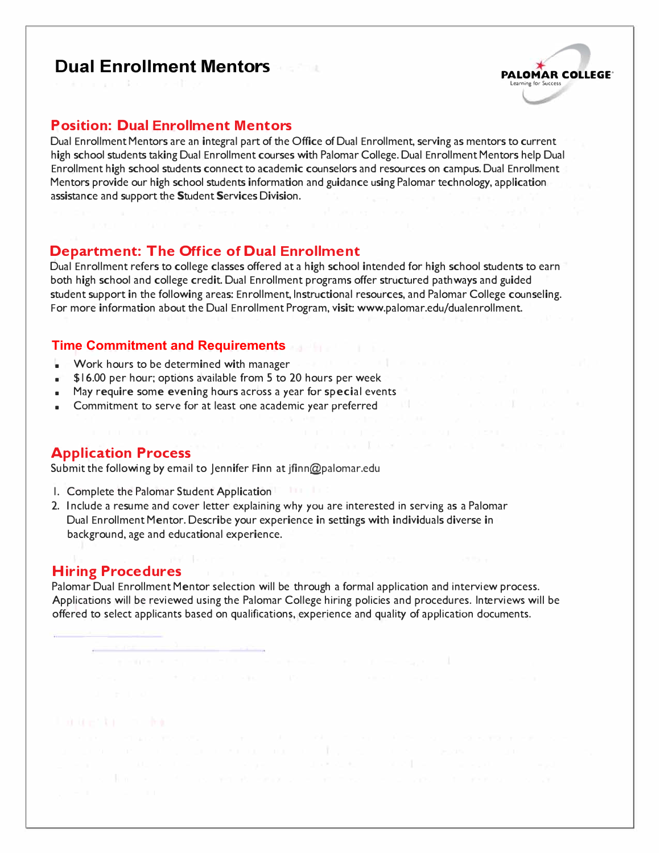# **Dual Enrollment Mentors**



#### **Position: Dual Enrollment Mentors**

Dual Enrollment Mentors are an integral part of the Office of Dual Enrollment, serving as mentors to current high school students taking Dual Enrollment courses with Palomar College. Dual Enrollment Mentors help Dual Enrollment high school students connect to academic counselors and resources on campus. Dual Enrollment Mentors provide our high school students information and guidance using Palomar technology, application assistance and support the Student Services Division.

#### **Department: The Office of Dual Enrollment**

Dual Enrollment refers to college classes offered at a high school intended for high school students to earn both high school and college credit. Dual Enrollment programs offer structured pathways and guided student support in the following areas: Enrollment, Instructional resources, and Palomar College counseling. For more information about the Dual Enrollment Program, visit: www.palomar.edu/dualenrollment.

#### **Time Commitment and Requirements**

- Work hours to be determined with manager
- \$16.00 per hour; options available from 5 to 20 hours per week
- May require some evening hours across a year for special events
- Commitment to serve for at least one academic year preferred

#### **Application Process**

Submit the following by email to Jennifer Finn at jfinn@palomar.edu

- 1. Complete the Palomar Student Application
- 2. Include a resume and cover letter explaining why you are interested in serving as a Palomar Dual Enrollment Mentor. Describe your experience in settings with individuals diverse in background, age and educational experience.

#### **Hiring Procedures**

Palomar Dual Enrollment Mentor selection will be through a formal application and interview process. Applications will be reviewed using the Palomar College hiring policies and procedures. Interviews will be offered to select applicants based on qualifications, experience and quality of application documents.